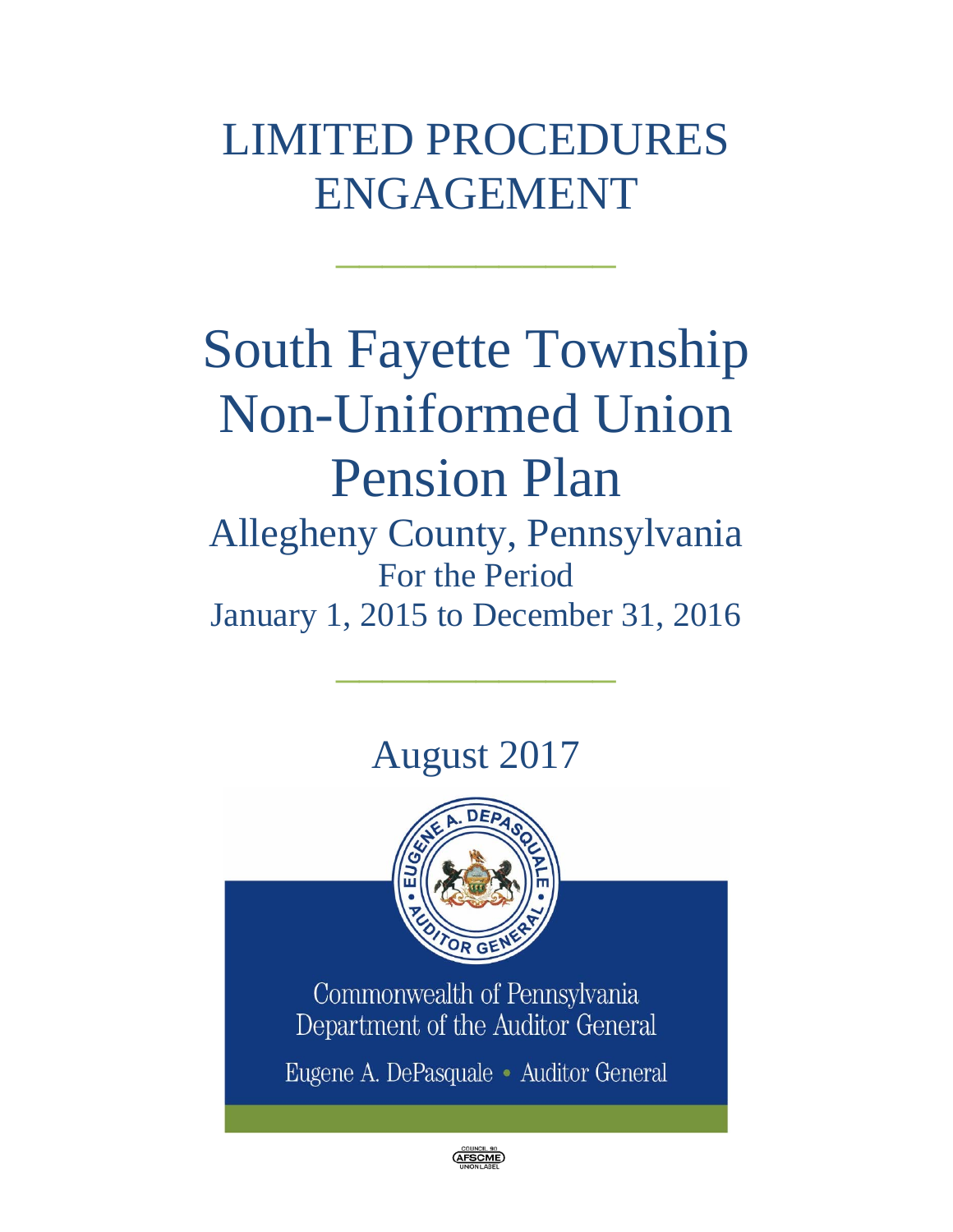# LIMITED PROCEDURES ENGAGEMENT

 $\mathcal{L}=\mathcal{L}^{\mathcal{L}}$ 

# South Fayette Township Non-Uniformed Union Pension Plan Allegheny County, Pennsylvania For the Period January 1, 2015 to December 31, 2016

# August 2017

 $\frac{1}{2}$  ,  $\frac{1}{2}$  ,  $\frac{1}{2}$  ,  $\frac{1}{2}$  ,  $\frac{1}{2}$  ,  $\frac{1}{2}$  ,  $\frac{1}{2}$ 



Commonwealth of Pennsylvania Department of the Auditor General

Eugene A. DePasquale · Auditor General

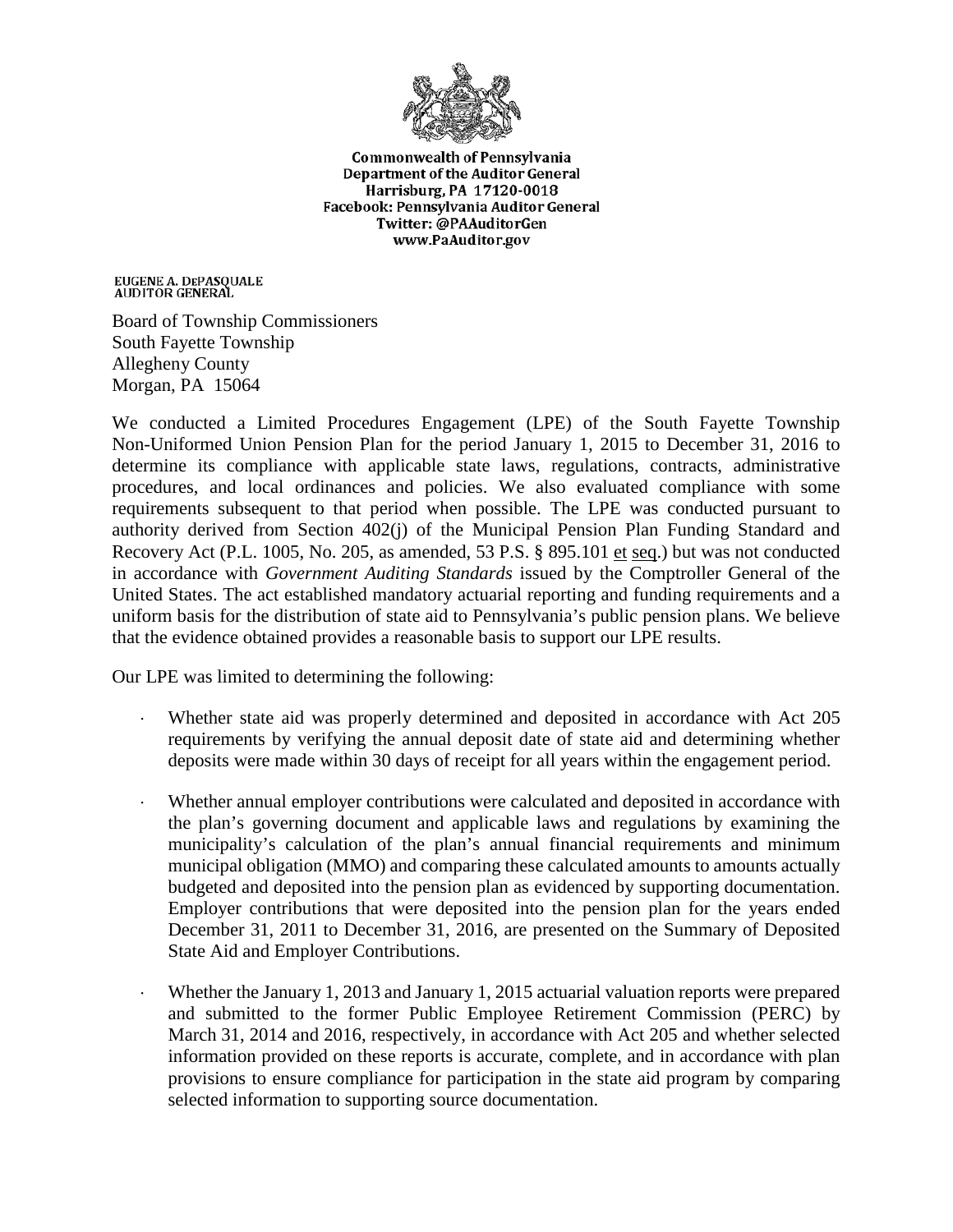

**Commonwealth of Pennsylvania** Department of the Auditor General Harrisburg, PA 17120-0018 Facebook: Pennsylvania Auditor General Twitter: @PAAuditorGen www.PaAuditor.gov

EUGENE A. DEPASQUALE<br>AUDITOR GENERAL

Board of Township Commissioners South Fayette Township Allegheny County Morgan, PA 15064

We conducted a Limited Procedures Engagement (LPE) of the South Fayette Township Non-Uniformed Union Pension Plan for the period January 1, 2015 to December 31, 2016 to determine its compliance with applicable state laws, regulations, contracts, administrative procedures, and local ordinances and policies. We also evaluated compliance with some requirements subsequent to that period when possible. The LPE was conducted pursuant to authority derived from Section 402(j) of the Municipal Pension Plan Funding Standard and Recovery Act (P.L. 1005, No. 205, as amended, 53 P.S. § 895.101 et seq.) but was not conducted in accordance with *Government Auditing Standards* issued by the Comptroller General of the United States. The act established mandatory actuarial reporting and funding requirements and a uniform basis for the distribution of state aid to Pennsylvania's public pension plans. We believe that the evidence obtained provides a reasonable basis to support our LPE results.

Our LPE was limited to determining the following:

- Whether state aid was properly determined and deposited in accordance with Act 205 requirements by verifying the annual deposit date of state aid and determining whether deposits were made within 30 days of receipt for all years within the engagement period.
- Whether annual employer contributions were calculated and deposited in accordance with the plan's governing document and applicable laws and regulations by examining the municipality's calculation of the plan's annual financial requirements and minimum municipal obligation (MMO) and comparing these calculated amounts to amounts actually budgeted and deposited into the pension plan as evidenced by supporting documentation. Employer contributions that were deposited into the pension plan for the years ended December 31, 2011 to December 31, 2016, are presented on the Summary of Deposited State Aid and Employer Contributions.
- Whether the January 1, 2013 and January 1, 2015 actuarial valuation reports were prepared and submitted to the former Public Employee Retirement Commission (PERC) by March 31, 2014 and 2016, respectively, in accordance with Act 205 and whether selected information provided on these reports is accurate, complete, and in accordance with plan provisions to ensure compliance for participation in the state aid program by comparing selected information to supporting source documentation.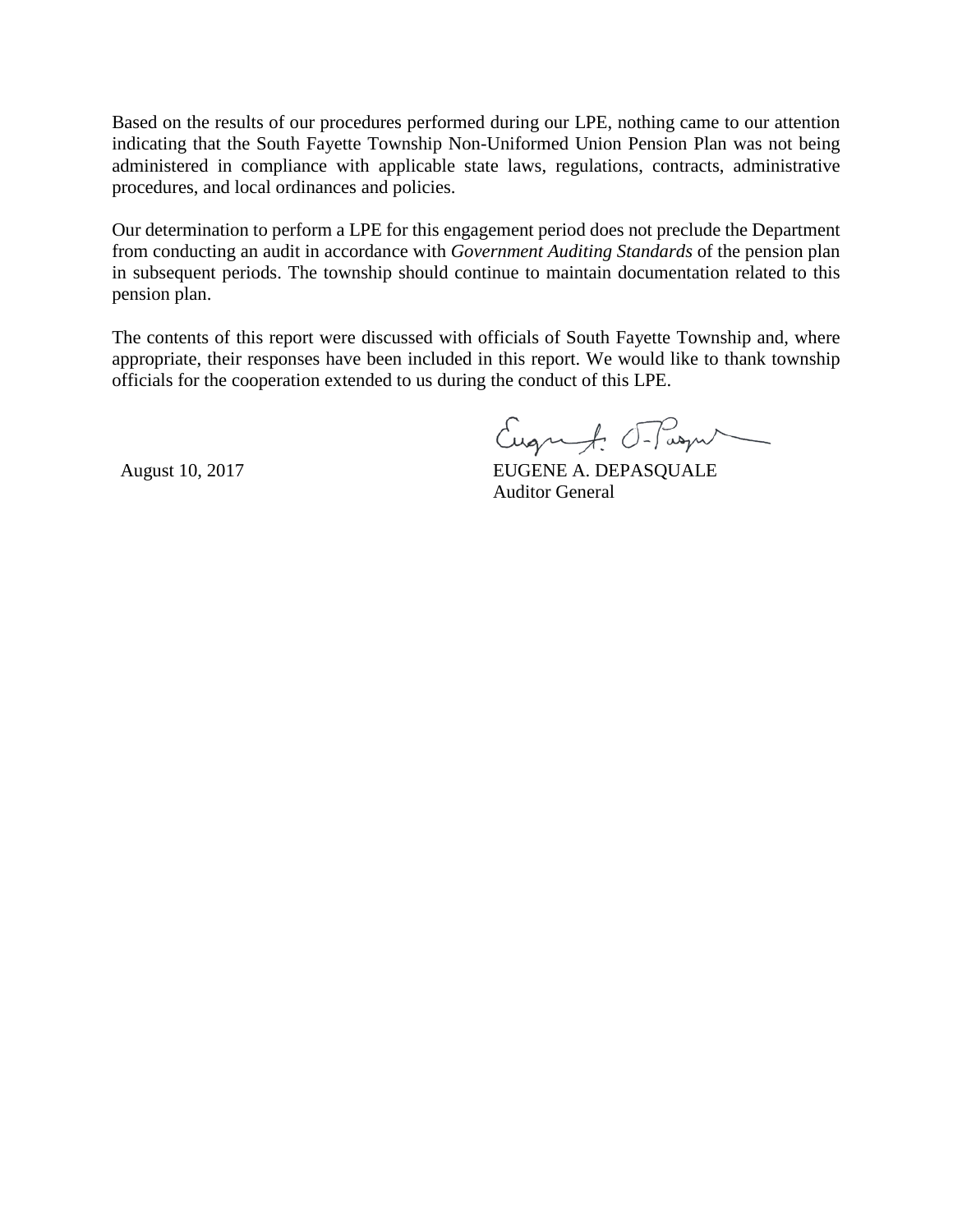Based on the results of our procedures performed during our LPE, nothing came to our attention indicating that the South Fayette Township Non-Uniformed Union Pension Plan was not being administered in compliance with applicable state laws, regulations, contracts, administrative procedures, and local ordinances and policies.

Our determination to perform a LPE for this engagement period does not preclude the Department from conducting an audit in accordance with *Government Auditing Standards* of the pension plan in subsequent periods. The township should continue to maintain documentation related to this pension plan.

The contents of this report were discussed with officials of South Fayette Township and, where appropriate, their responses have been included in this report. We would like to thank township officials for the cooperation extended to us during the conduct of this LPE.

Eugenf: T-Pasqu

August 10, 2017 **EUGENE A. DEPASQUALE** Auditor General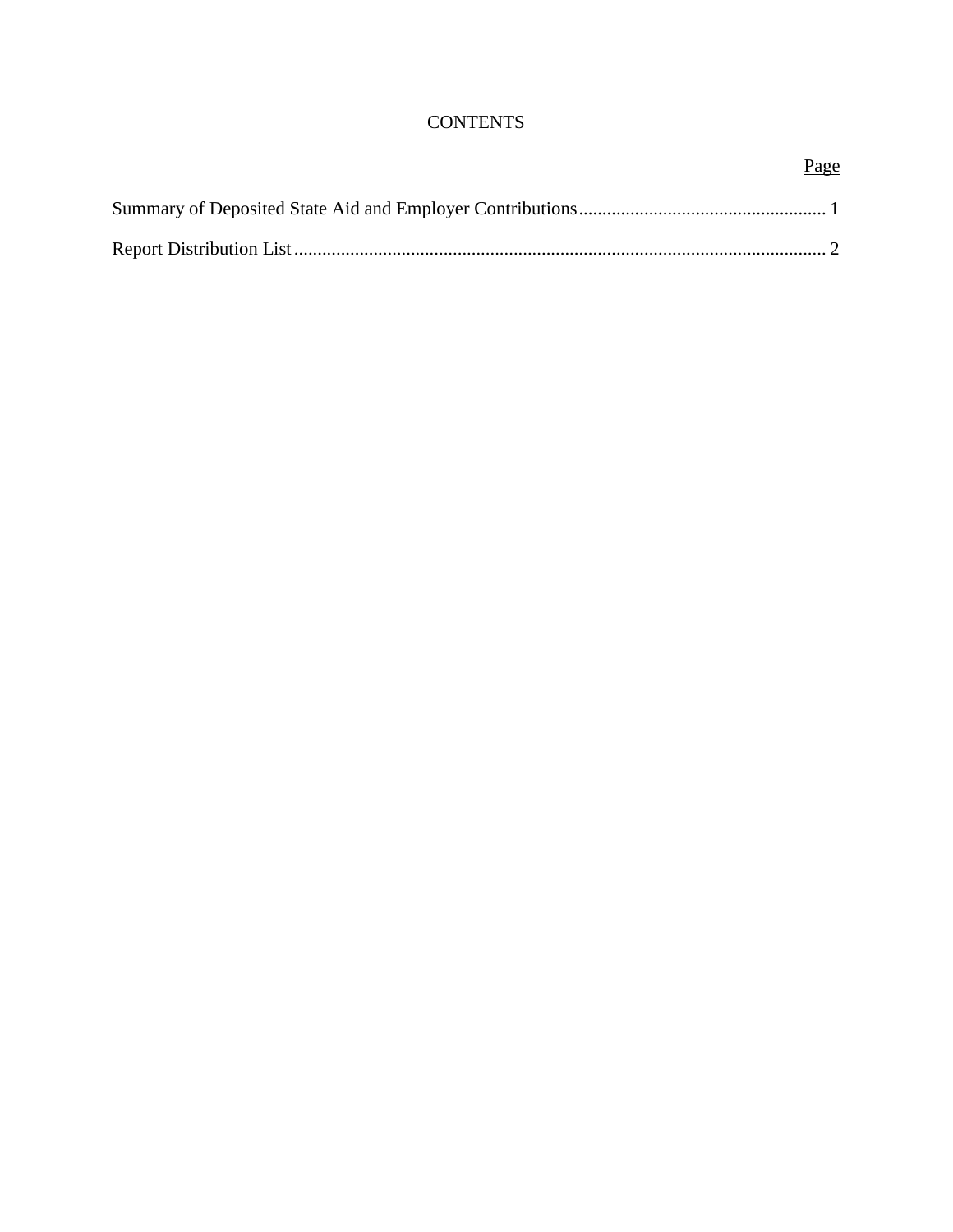### **CONTENTS**

## Page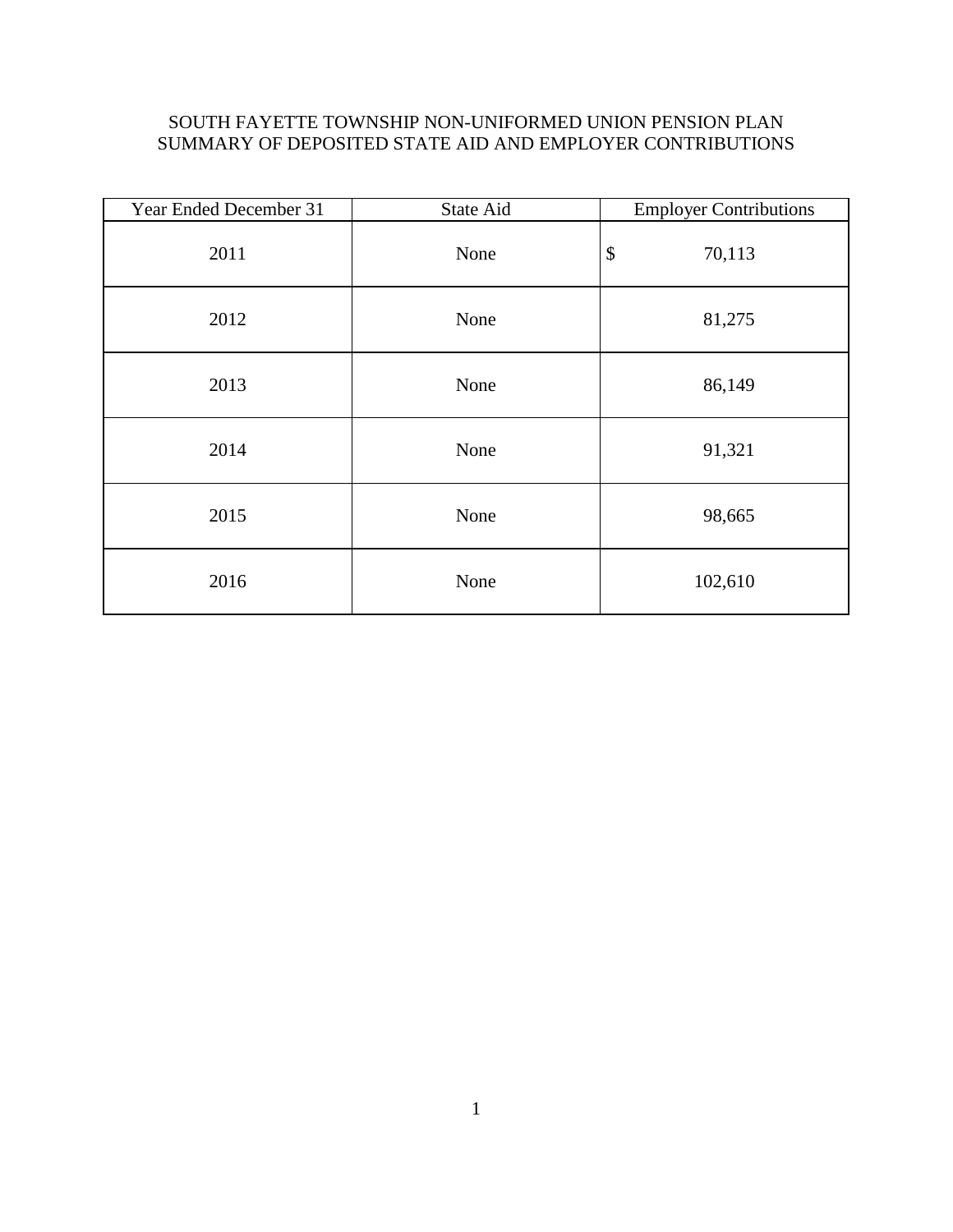### SOUTH FAYETTE TOWNSHIP NON-UNIFORMED UNION PENSION PLAN SUMMARY OF DEPOSITED STATE AID AND EMPLOYER CONTRIBUTIONS

| Year Ended December 31 | State Aid | <b>Employer Contributions</b> |
|------------------------|-----------|-------------------------------|
| 2011                   | None      | \$<br>70,113                  |
| 2012                   | None      | 81,275                        |
| 2013                   | None      | 86,149                        |
| 2014                   | None      | 91,321                        |
| 2015                   | None      | 98,665                        |
| 2016                   | None      | 102,610                       |